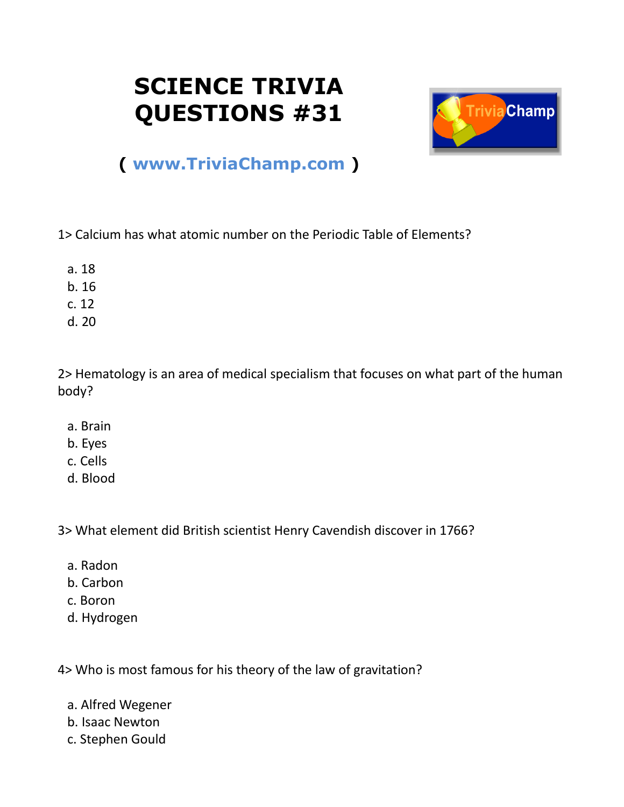## **SCIENCE TRIVIA QUESTIONS #31**



## **( [www.TriviaChamp.com](http://www.triviachamp.com/) )**

1> Calcium has what atomic number on the Periodic Table of Elements?

- a. 18
- b. 16
- c. 12
- d. 20

2> Hematology is an area of medical specialism that focuses on what part of the human body?

- a. Brain
- b. Eyes
- c. Cells
- d. Blood

3> What element did British scientist Henry Cavendish discover in 1766?

- a. Radon
- b. Carbon
- c. Boron
- d. Hydrogen

4> Who is most famous for his theory of the law of gravitation?

- a. Alfred Wegener
- b. Isaac Newton
- c. Stephen Gould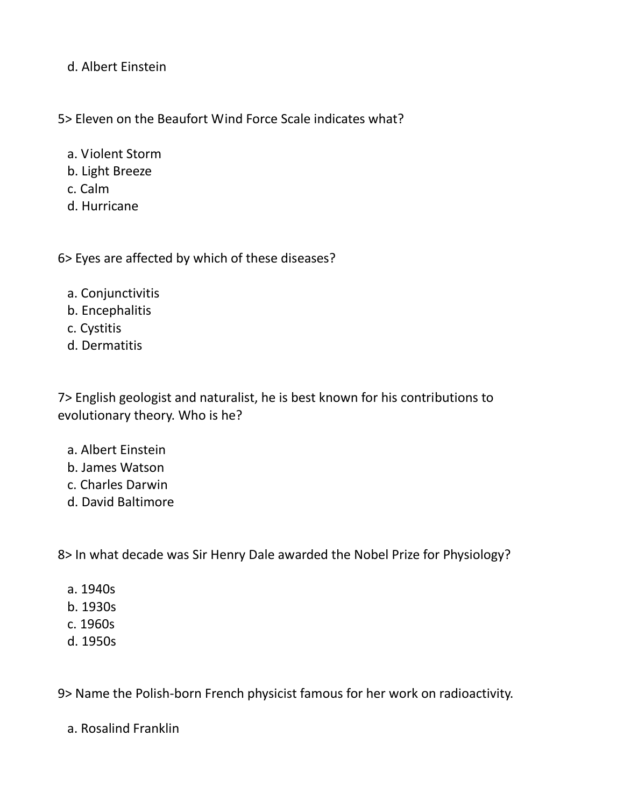d. Albert Einstein

5> Eleven on the Beaufort Wind Force Scale indicates what?

- a. Violent Storm
- b. Light Breeze
- c. Calm
- d. Hurricane

6> Eyes are affected by which of these diseases?

- a. Conjunctivitis
- b. Encephalitis
- c. Cystitis
- d. Dermatitis

7> English geologist and naturalist, he is best known for his contributions to evolutionary theory. Who is he?

- a. Albert Einstein
- b. James Watson
- c. Charles Darwin
- d. David Baltimore

8> In what decade was Sir Henry Dale awarded the Nobel Prize for Physiology?

- a. 1940s
- b. 1930s
- c. 1960s
- d. 1950s

9> Name the Polish-born French physicist famous for her work on radioactivity.

a. Rosalind Franklin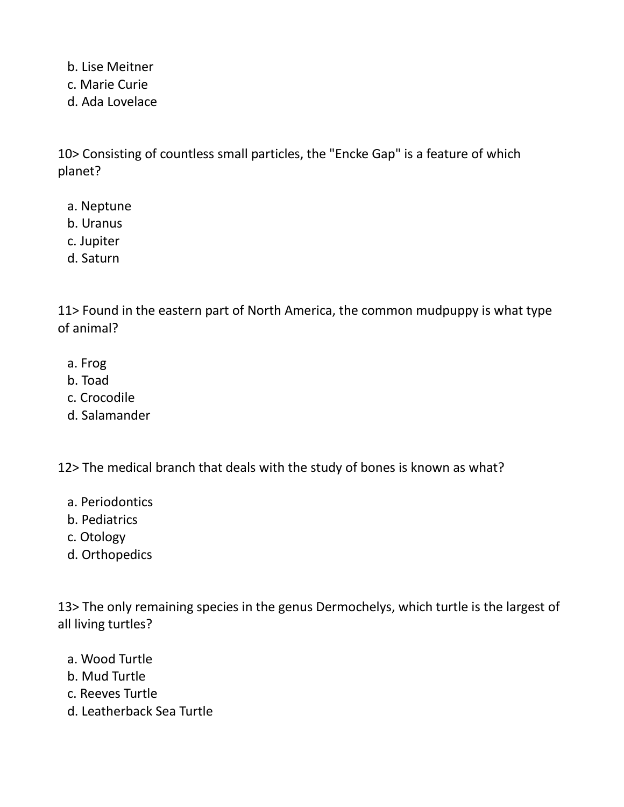b. Lise Meitner

- c. Marie Curie
- d. Ada Lovelace

10> Consisting of countless small particles, the "Encke Gap" is a feature of which planet?

- a. Neptune
- b. Uranus
- c. Jupiter
- d. Saturn

11> Found in the eastern part of North America, the common mudpuppy is what type of animal?

- a. Frog
- b. Toad
- c. Crocodile
- d. Salamander

12> The medical branch that deals with the study of bones is known as what?

- a. Periodontics
- b. Pediatrics
- c. Otology
- d. Orthopedics

13> The only remaining species in the genus Dermochelys, which turtle is the largest of all living turtles?

- a. Wood Turtle
- b. Mud Turtle
- c. Reeves Turtle
- d. Leatherback Sea Turtle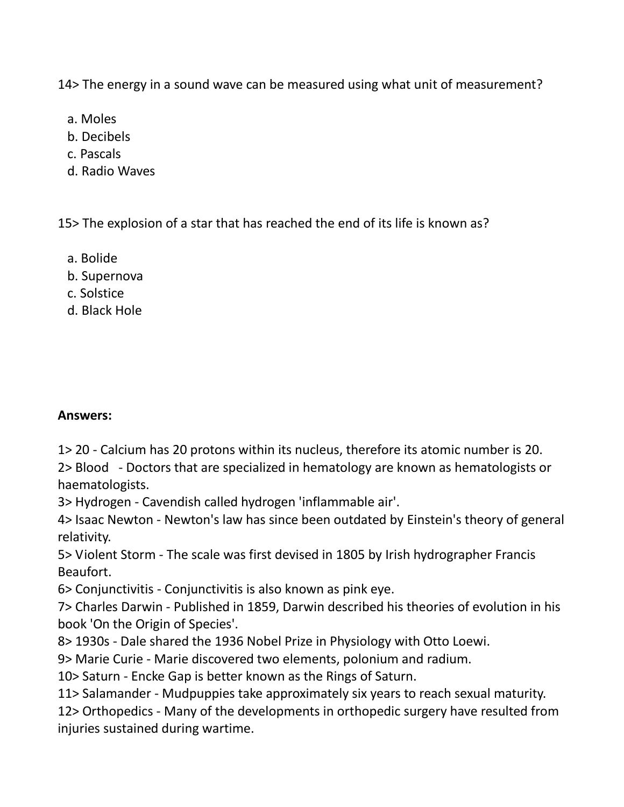14> The energy in a sound wave can be measured using what unit of measurement?

- a. Moles
- b. Decibels
- c. Pascals
- d. Radio Waves

15> The explosion of a star that has reached the end of its life is known as?

- a. Bolide
- b. Supernova
- c. Solstice
- d. Black Hole

## **Answers:**

1> 20 - Calcium has 20 protons within its nucleus, therefore its atomic number is 20. 2> Blood - Doctors that are specialized in hematology are known as hematologists or haematologists.

3> Hydrogen - Cavendish called hydrogen 'inflammable air'.

4> Isaac Newton - Newton's law has since been outdated by Einstein's theory of general relativity.

5> Violent Storm - The scale was first devised in 1805 by Irish hydrographer Francis Beaufort.

6> Conjunctivitis - Conjunctivitis is also known as pink eye.

7> Charles Darwin - Published in 1859, Darwin described his theories of evolution in his book 'On the Origin of Species'.

8> 1930s - Dale shared the 1936 Nobel Prize in Physiology with Otto Loewi.

9> Marie Curie - Marie discovered two elements, polonium and radium.

10> Saturn - Encke Gap is better known as the Rings of Saturn.

11> Salamander - Mudpuppies take approximately six years to reach sexual maturity.

12> Orthopedics - Many of the developments in orthopedic surgery have resulted from injuries sustained during wartime.